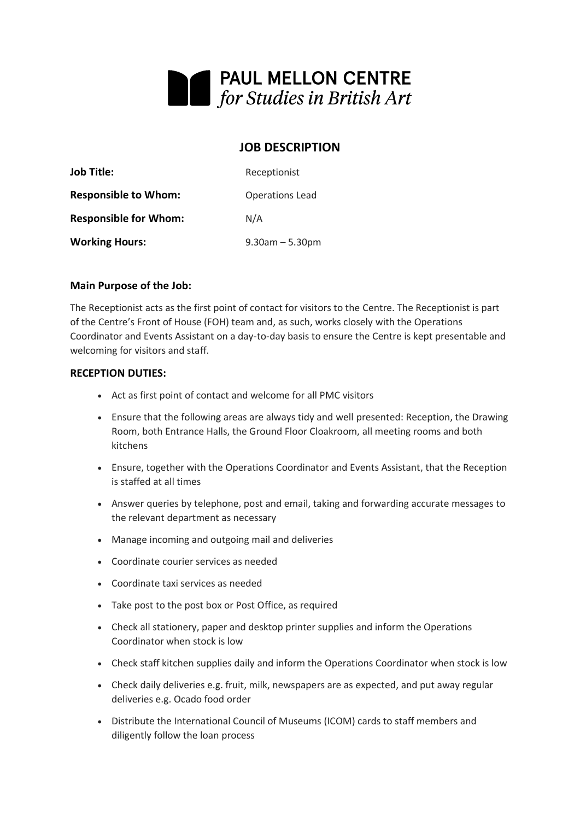

# **JOB DESCRIPTION**

| <b>Job Title:</b>            | Receptionist           |
|------------------------------|------------------------|
| <b>Responsible to Whom:</b>  | <b>Operations Lead</b> |
| <b>Responsible for Whom:</b> | N/A                    |
| <b>Working Hours:</b>        | $9.30$ am $-5.30$ pm   |

#### **Main Purpose of the Job:**

The Receptionist acts as the first point of contact for visitors to the Centre. The Receptionist is part of the Centre's Front of House (FOH) team and, as such, works closely with the Operations Coordinator and Events Assistant on a day-to-day basis to ensure the Centre is kept presentable and welcoming for visitors and staff.

#### **RECEPTION DUTIES:**

- Act as first point of contact and welcome for all PMC visitors
- Ensure that the following areas are always tidy and well presented: Reception, the Drawing Room, both Entrance Halls, the Ground Floor Cloakroom, all meeting rooms and both kitchens
- Ensure, together with the Operations Coordinator and Events Assistant, that the Reception is staffed at all times
- Answer queries by telephone, post and email, taking and forwarding accurate messages to the relevant department as necessary
- Manage incoming and outgoing mail and deliveries
- Coordinate courier services as needed
- Coordinate taxi services as needed
- Take post to the post box or Post Office, as required
- Check all stationery, paper and desktop printer supplies and inform the Operations Coordinator when stock is low
- Check staff kitchen supplies daily and inform the Operations Coordinator when stock is low
- Check daily deliveries e.g. fruit, milk, newspapers are as expected, and put away regular deliveries e.g. Ocado food order
- Distribute the International Council of Museums (ICOM) cards to staff members and diligently follow the loan process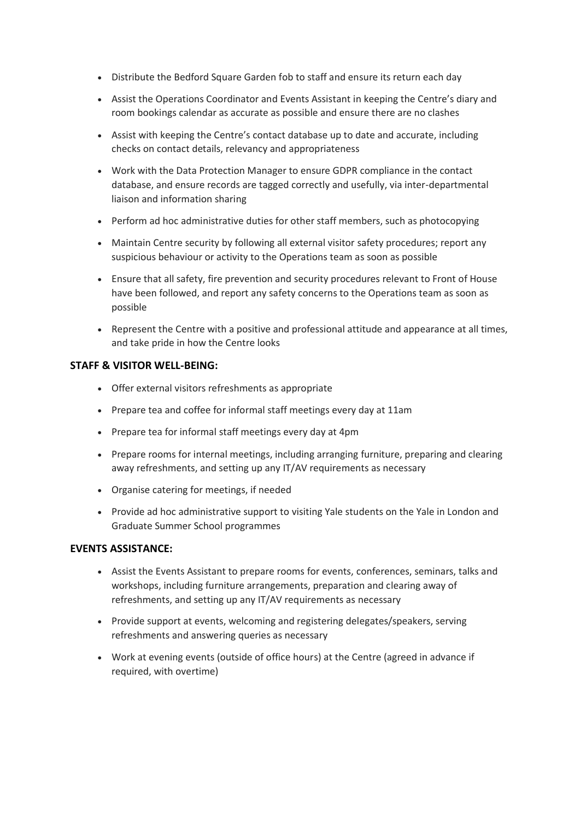- Distribute the Bedford Square Garden fob to staff and ensure its return each day
- Assist the Operations Coordinator and Events Assistant in keeping the Centre's diary and room bookings calendar as accurate as possible and ensure there are no clashes
- Assist with keeping the Centre's contact database up to date and accurate, including checks on contact details, relevancy and appropriateness
- Work with the Data Protection Manager to ensure GDPR compliance in the contact database, and ensure records are tagged correctly and usefully, via inter-departmental liaison and information sharing
- Perform ad hoc administrative duties for other staff members, such as photocopying
- Maintain Centre security by following all external visitor safety procedures; report any suspicious behaviour or activity to the Operations team as soon as possible
- Ensure that all safety, fire prevention and security procedures relevant to Front of House have been followed, and report any safety concerns to the Operations team as soon as possible
- Represent the Centre with a positive and professional attitude and appearance at all times, and take pride in how the Centre looks

## **STAFF & VISITOR WELL-BEING:**

- Offer external visitors refreshments as appropriate
- Prepare tea and coffee for informal staff meetings every day at 11am
- Prepare tea for informal staff meetings every day at 4pm
- Prepare rooms for internal meetings, including arranging furniture, preparing and clearing away refreshments, and setting up any IT/AV requirements as necessary
- Organise catering for meetings, if needed
- Provide ad hoc administrative support to visiting Yale students on the Yale in London and Graduate Summer School programmes

## **EVENTS ASSISTANCE:**

- Assist the Events Assistant to prepare rooms for events, conferences, seminars, talks and workshops, including furniture arrangements, preparation and clearing away of refreshments, and setting up any IT/AV requirements as necessary
- Provide support at events, welcoming and registering delegates/speakers, serving refreshments and answering queries as necessary
- Work at evening events (outside of office hours) at the Centre (agreed in advance if required, with overtime)